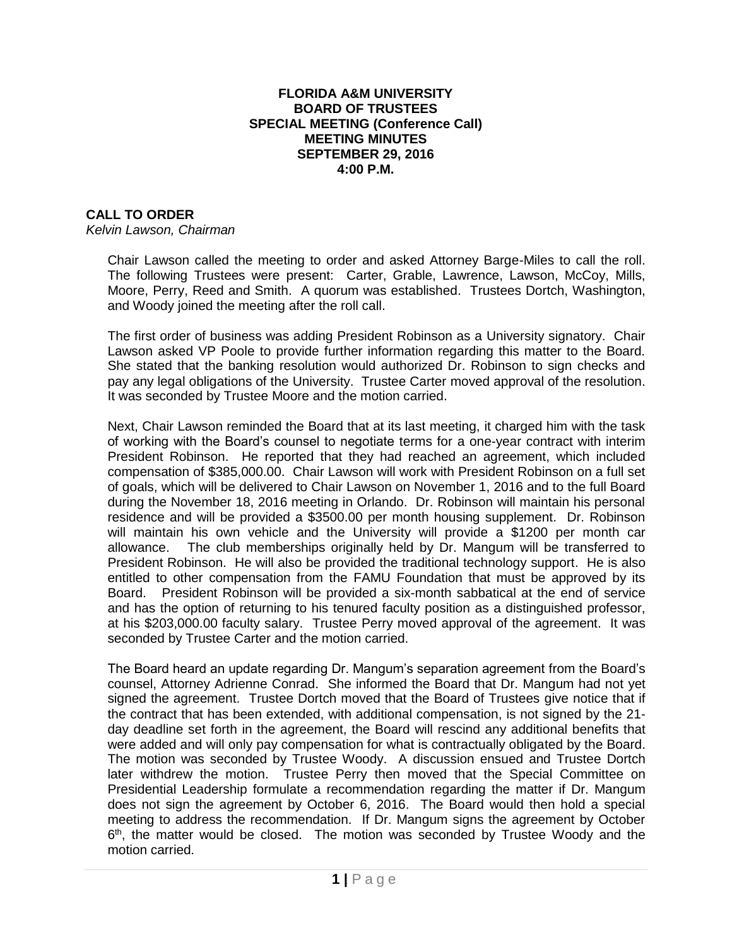## **FLORIDA A&M UNIVERSITY BOARD OF TRUSTEES SPECIAL MEETING (Conference Call) MEETING MINUTES SEPTEMBER 29, 2016 4:00 P.M.**

## **CALL TO ORDER**

*Kelvin Lawson, Chairman*

Chair Lawson called the meeting to order and asked Attorney Barge-Miles to call the roll. The following Trustees were present: Carter, Grable, Lawrence, Lawson, McCoy, Mills, Moore, Perry, Reed and Smith. A quorum was established. Trustees Dortch, Washington, and Woody joined the meeting after the roll call.

The first order of business was adding President Robinson as a University signatory. Chair Lawson asked VP Poole to provide further information regarding this matter to the Board. She stated that the banking resolution would authorized Dr. Robinson to sign checks and pay any legal obligations of the University. Trustee Carter moved approval of the resolution. It was seconded by Trustee Moore and the motion carried.

Next, Chair Lawson reminded the Board that at its last meeting, it charged him with the task of working with the Board's counsel to negotiate terms for a one-year contract with interim President Robinson. He reported that they had reached an agreement, which included compensation of \$385,000.00. Chair Lawson will work with President Robinson on a full set of goals, which will be delivered to Chair Lawson on November 1, 2016 and to the full Board during the November 18, 2016 meeting in Orlando. Dr. Robinson will maintain his personal residence and will be provided a \$3500.00 per month housing supplement. Dr. Robinson will maintain his own vehicle and the University will provide a \$1200 per month car allowance. The club memberships originally held by Dr. Mangum will be transferred to President Robinson. He will also be provided the traditional technology support. He is also entitled to other compensation from the FAMU Foundation that must be approved by its Board. President Robinson will be provided a six-month sabbatical at the end of service and has the option of returning to his tenured faculty position as a distinguished professor, at his \$203,000.00 faculty salary. Trustee Perry moved approval of the agreement. It was seconded by Trustee Carter and the motion carried.

The Board heard an update regarding Dr. Mangum's separation agreement from the Board's counsel, Attorney Adrienne Conrad. She informed the Board that Dr. Mangum had not yet signed the agreement. Trustee Dortch moved that the Board of Trustees give notice that if the contract that has been extended, with additional compensation, is not signed by the 21 day deadline set forth in the agreement, the Board will rescind any additional benefits that were added and will only pay compensation for what is contractually obligated by the Board. The motion was seconded by Trustee Woody. A discussion ensued and Trustee Dortch later withdrew the motion. Trustee Perry then moved that the Special Committee on Presidential Leadership formulate a recommendation regarding the matter if Dr. Mangum does not sign the agreement by October 6, 2016. The Board would then hold a special meeting to address the recommendation. If Dr. Mangum signs the agreement by October 6<sup>th</sup>, the matter would be closed. The motion was seconded by Trustee Woody and the motion carried.